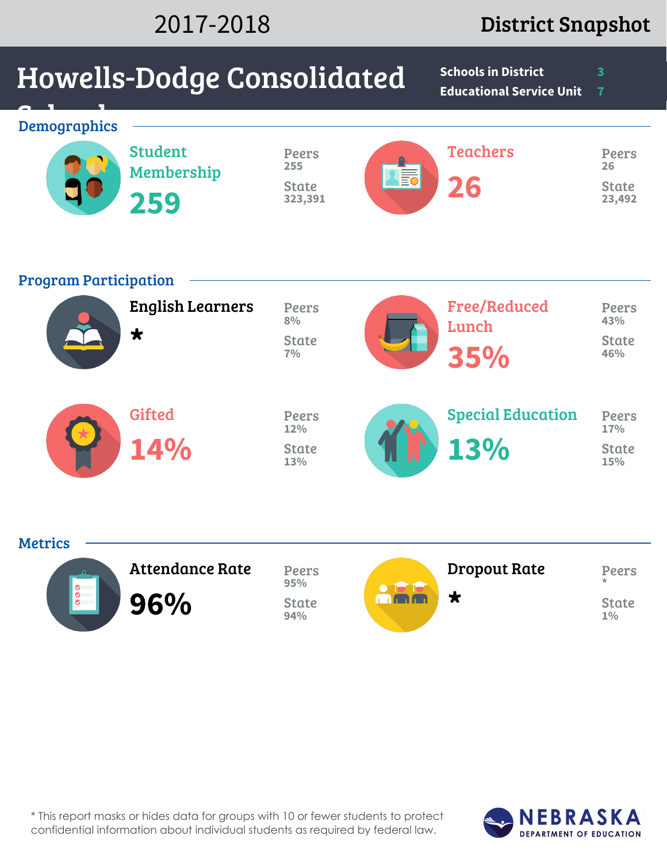### 2017-2018 District Snapshot

# Howells-Dodge Consolidated

**Schools in District 3 Educational Service Unit 7**

| <b>Demographics</b>          | <b>Student</b><br>Membership<br>259   | Peers<br>255<br><b>State</b><br>323,391    | <b>A</b> EQ | <b>Teachers</b><br>26               | <b>Peers</b><br>26<br><b>State</b><br>23,492 |
|------------------------------|---------------------------------------|--------------------------------------------|-------------|-------------------------------------|----------------------------------------------|
| <b>Program Participation</b> | <b>English Learners</b><br>$\bigstar$ | <b>Peers</b><br>8%<br><b>State</b><br>7%   |             | <b>Free/Reduced</b><br>Lunch<br>35% | <b>Peers</b><br>43%<br><b>State</b><br>46%   |
|                              | <b>Gifted</b><br>14%                  | <b>Peers</b><br>12%<br><b>State</b><br>13% |             | <b>Special Education</b><br>13%     | <b>Peers</b><br>17%<br><b>State</b><br>15%   |

| <b>Attendance Rate</b> | <b>Peers</b><br>95% | <b>Dropout Rate</b> | <b>Peers</b><br>$\star$ |
|------------------------|---------------------|---------------------|-------------------------|
| 96%                    | State<br>94%        |                     | State<br>$1\%$          |



**Metrics** 

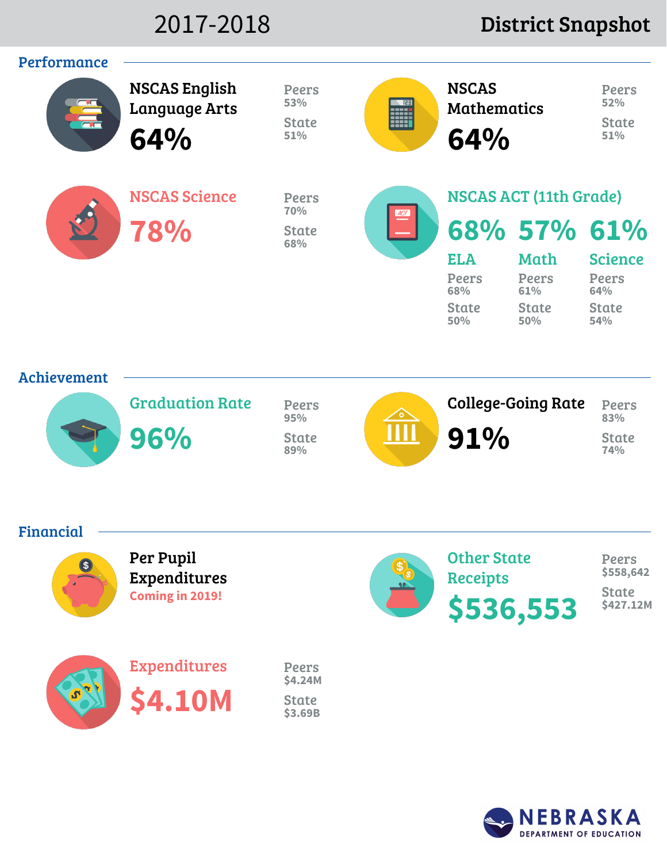### 2017-2018 District Snapshot



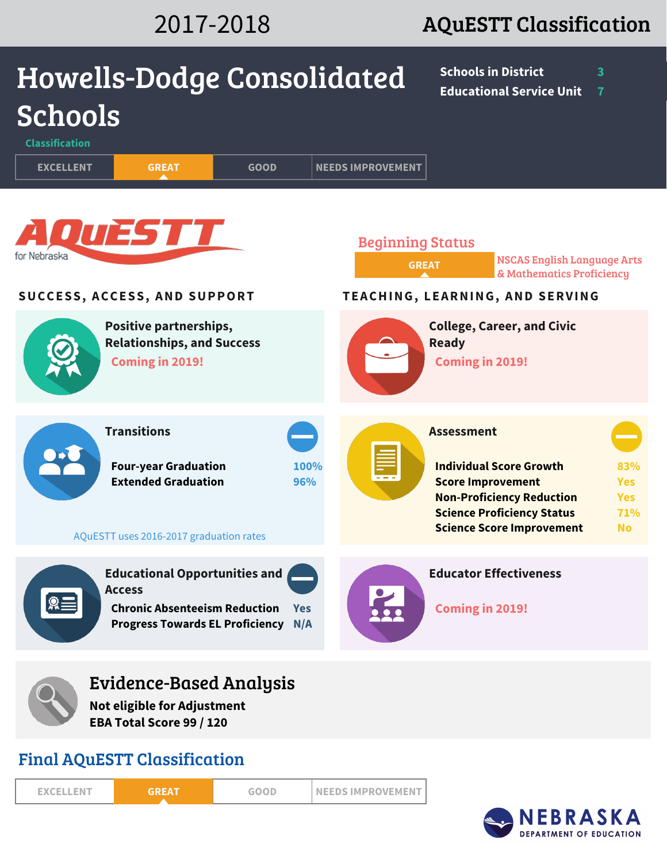## 2017-2018 AQuESTT Classification

| <b>Howells-Dodge Consolidated</b>       |                                                                                                                                         |                   |                                         | <b>Schools in District</b><br><b>Educational Service Unit</b>                                                                                                                                | 3<br>7                                              |
|-----------------------------------------|-----------------------------------------------------------------------------------------------------------------------------------------|-------------------|-----------------------------------------|----------------------------------------------------------------------------------------------------------------------------------------------------------------------------------------------|-----------------------------------------------------|
| <b>Schools</b><br><b>Classification</b> |                                                                                                                                         |                   |                                         |                                                                                                                                                                                              |                                                     |
| <b>EXCELLENT</b>                        | <b>GREAT</b>                                                                                                                            | <b>GOOD</b>       | <b>NEEDS IMPROVEMENT</b>                |                                                                                                                                                                                              |                                                     |
| for Nebraska                            | <b>QUESTT</b>                                                                                                                           |                   | <b>Beginning Status</b><br><b>GREAT</b> | <b>NSCAS English Language Arts</b><br>& Mathematics Proficiency                                                                                                                              |                                                     |
| SUCCESS, ACCESS, AND SUPPORT            |                                                                                                                                         |                   |                                         | TEACHING, LEARNING, AND SERVING                                                                                                                                                              |                                                     |
|                                         | Positive partnerships,<br><b>Relationships, and Success</b><br><b>Coming in 2019!</b>                                                   |                   |                                         | <b>College, Career, and Civic</b><br><b>Ready</b><br><b>Coming in 2019!</b>                                                                                                                  |                                                     |
|                                         | <b>Transitions</b><br><b>Four-year Graduation</b><br><b>Extended Graduation</b><br>AQuESTT uses 2016-2017 graduation rates              | 100%<br>96%       |                                         | <b>Assessment</b><br><b>Individual Score Growth</b><br><b>Score Improvement</b><br><b>Non-Proficiency Reduction</b><br><b>Science Proficiency Status</b><br><b>Science Score Improvement</b> | 83%<br><b>Yes</b><br><b>Yes</b><br>71%<br><b>No</b> |
|                                         | <b>Educational Opportunities and</b><br><b>Access</b><br><b>Chronic Absenteeism Reduction</b><br><b>Progress Towards EL Proficiency</b> | <b>Yes</b><br>N/A |                                         | <b>Educator Effectiveness</b><br>Coming in 2019!                                                                                                                                             |                                                     |
|                                         | Evidence-Based Analysis<br><b>Not eligible for Adjustment</b><br>EBA Total Score 99 / 120                                               |                   |                                         |                                                                                                                                                                                              |                                                     |

### Final AQuESTT Classification

**EXCELLENT GREAT GOOD NEEDS IMPROVEMENT**